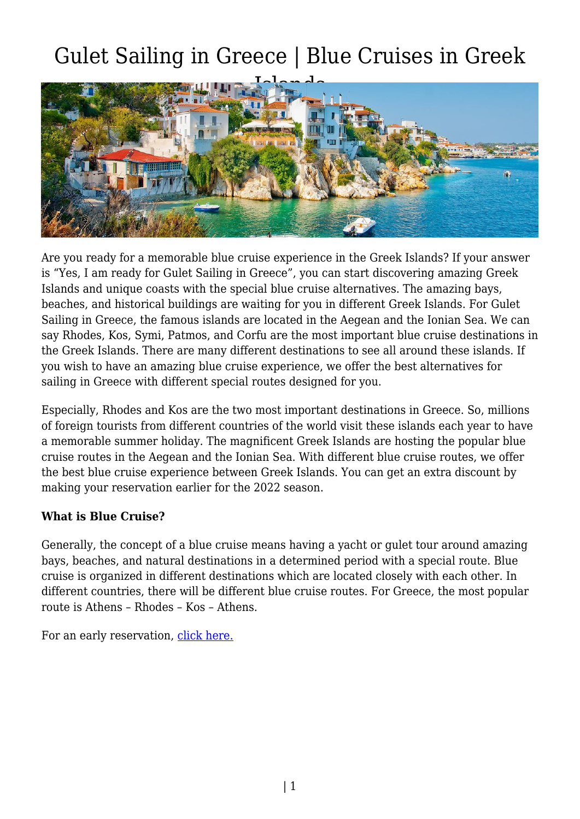## Gulet Sailing in Greece | Blue Cruises in Greek



Are you ready for a memorable blue cruise experience in the Greek Islands? If your answer is "Yes, I am ready for Gulet Sailing in Greece", you can start discovering amazing Greek Islands and unique coasts with the special blue cruise alternatives. The amazing bays, beaches, and historical buildings are waiting for you in different Greek Islands. For Gulet Sailing in Greece, the famous islands are located in the Aegean and the Ionian Sea. We can say Rhodes, Kos, Symi, Patmos, and Corfu are the most important blue cruise destinations in the Greek Islands. There are many different destinations to see all around these islands. If you wish to have an amazing blue cruise experience, we offer the best alternatives for sailing in Greece with different special routes designed for you.

Especially, Rhodes and Kos are the two most important destinations in Greece. So, millions of foreign tourists from different countries of the world visit these islands each year to have a memorable summer holiday. The magnificent Greek Islands are hosting the popular blue cruise routes in the Aegean and the Ionian Sea. With different blue cruise routes, we offer the best blue cruise experience between Greek Islands. You can get an extra discount by making your reservation earlier for the 2022 season.

## **What is Blue Cruise?**

Generally, the concept of a blue cruise means having a yacht or gulet tour around amazing bays, beaches, and natural destinations in a determined period with a special route. Blue cruise is organized in different destinations which are located closely with each other. In different countries, there will be different blue cruise routes. For Greece, the most popular route is Athens – Rhodes – Kos – Athens.

For an early reservation, [click here.](https://www.guletbroker.com/contact/)